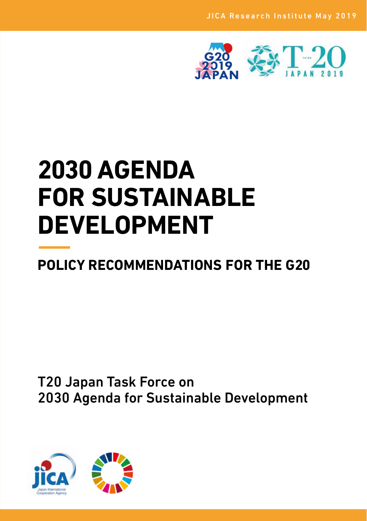

# **2030 AGENDA FOR SUSTAINABLE DEVELOPMENT**

## **POLICY RECOMMENDATIONS FOR THE G20**

### T20 Japan Task Force on 2030 Agenda for Sustainable Development

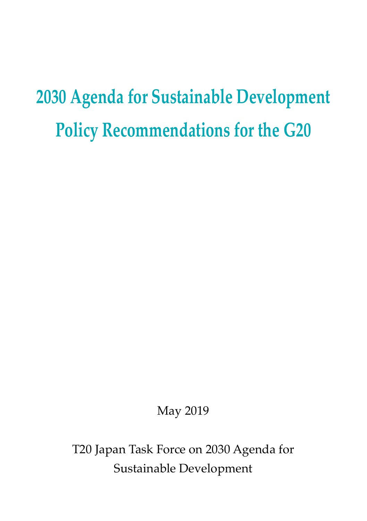## **2030 Agenda for Sustainable Development Policy Recommendations for the G20**

May 2019

T20 Japan Task Force on 2030 Agenda for Sustainable Development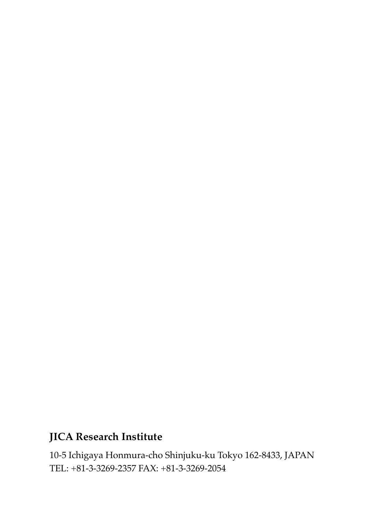### **JICA Research Institute**

10-5 Ichigaya Honmura-cho Shinjuku-ku Tokyo 162-8433, JAPAN TEL: +81-3-3269-2357 FAX: +81-3-3269-2054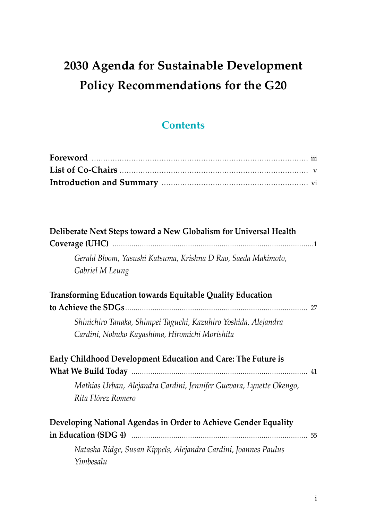### **2030 Agenda for Sustainable Development Policy Recommendations for the G20**

#### **Contents**

| Deliberate Next Steps toward a New Globalism for Universal Health                         |
|-------------------------------------------------------------------------------------------|
| Gerald Bloom, Yasushi Katsuma, Krishna D Rao, Saeda Makimoto,<br>Gabriel M Leung          |
| Transforming Education towards Equitable Quality Education                                |
|                                                                                           |
| Shinichiro Tanaka, Shimpei Taguchi, Kazuhiro Yoshida, Alejandra                           |
| Cardini, Nobuko Kayashima, Hiromichi Morishita                                            |
| Early Childhood Development Education and Care: The Future is                             |
|                                                                                           |
| Mathias Urban, Alejandra Cardini, Jennifer Guevara, Lynette Okengo,<br>Rita Flórez Romero |
| Developing National Agendas in Order to Achieve Gender Equality                           |
| Natasha Ridge, Susan Kippels, Alejandra Cardini, Joannes Paulus<br>Yimbesalu              |